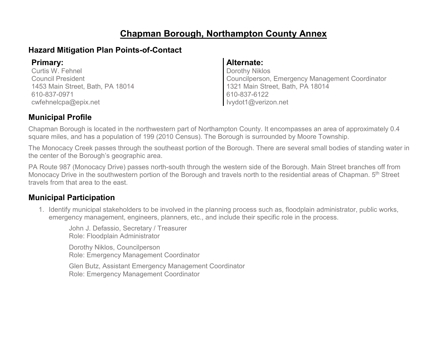# **Chapman Borough, Northampton County Annex**

### **Hazard Mitigation Plan Points-of-Contact**

Curtis W. Fehnel Council President 1453 Main Street, Bath, PA 18014 610-837-0971 cwfehnelcpa@epix.net

#### **Primary: Alternate:**

Dorothy Niklos Councilperson, Emergency Management Coordinator 1321 Main Street, Bath, PA 18014 610-837-6122 Ivydot1@verizon.net

### **Municipal Profile**

Chapman Borough is located in the northwestern part of Northampton County. It encompasses an area of approximately 0.4 square miles, and has a population of 199 (2010 Census). The Borough is surrounded by Moore Township.

The Monocacy Creek passes through the southeast portion of the Borough. There are several small bodies of standing water in the center of the Borough's geographic area.

PA Route 987 (Monocacy Drive) passes north-south through the western side of the Borough. Main Street branches off from Monocacy Drive in the southwestern portion of the Borough and travels north to the residential areas of Chapman. 5<sup>th</sup> Street travels from that area to the east.

### **Municipal Participation**

1. Identify municipal stakeholders to be involved in the planning process such as, floodplain administrator, public works, emergency management, engineers, planners, etc., and include their specific role in the process.

John J. Defassio, Secretary / Treasurer Role: Floodplain Administrator

Dorothy Niklos, Councilperson Role: Emergency Management Coordinator

Glen Butz, Assistant Emergency Management Coordinator Role: Emergency Management Coordinator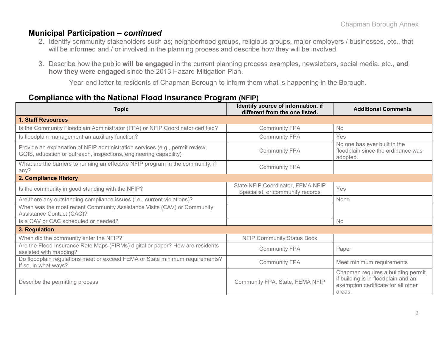### **Municipal Participation –** *continued*

- 2. Identify community stakeholders such as; neighborhood groups, religious groups, major employers / businesses, etc., that will be informed and / or involved in the planning process and describe how they will be involved.
- 3. Describe how the public **will be engaged** in the current planning process examples, newsletters, social media, etc., **and how they were engaged** since the 2013 Hazard Mitigation Plan.

Year-end letter to residents of Chapman Borough to inform them what is happening in the Borough.

### **Compliance with the National Flood Insurance Program (NFIP)**

| <b>Topic</b>                                                                                                                                      | Identify source of information, if<br>different from the one listed.  | <b>Additional Comments</b>                                                                                                 |
|---------------------------------------------------------------------------------------------------------------------------------------------------|-----------------------------------------------------------------------|----------------------------------------------------------------------------------------------------------------------------|
| <b>1. Staff Resources</b>                                                                                                                         |                                                                       |                                                                                                                            |
| Is the Community Floodplain Administrator (FPA) or NFIP Coordinator certified?                                                                    | <b>Community FPA</b>                                                  | <b>No</b>                                                                                                                  |
| Is floodplain management an auxiliary function?                                                                                                   | <b>Community FPA</b>                                                  | Yes                                                                                                                        |
| Provide an explanation of NFIP administration services (e.g., permit review,<br>GGIS, education or outreach, inspections, engineering capability) | <b>Community FPA</b>                                                  | No one has ever built in the<br>floodplain since the ordinance was<br>adopted.                                             |
| What are the barriers to running an effective NFIP program in the community, if<br>any?                                                           | <b>Community FPA</b>                                                  |                                                                                                                            |
| 2. Compliance History                                                                                                                             |                                                                       |                                                                                                                            |
| Is the community in good standing with the NFIP?                                                                                                  | State NFIP Coordinator, FEMA NFIP<br>Specialist, or community records | Yes                                                                                                                        |
| Are there any outstanding compliance issues (i.e., current violations)?                                                                           |                                                                       | None                                                                                                                       |
| When was the most recent Community Assistance Visits (CAV) or Community<br>Assistance Contact (CAC)?                                              |                                                                       |                                                                                                                            |
| Is a CAV or CAC scheduled or needed?                                                                                                              |                                                                       | No                                                                                                                         |
| 3. Regulation                                                                                                                                     |                                                                       |                                                                                                                            |
| When did the community enter the NFIP?                                                                                                            | <b>NFIP Community Status Book</b>                                     |                                                                                                                            |
| Are the Flood Insurance Rate Maps (FIRMs) digital or paper? How are residents<br>assisted with mapping?                                           | <b>Community FPA</b>                                                  | Paper                                                                                                                      |
| Do floodplain regulations meet or exceed FEMA or State minimum requirements?<br>If so, in what ways?                                              | <b>Community FPA</b>                                                  | Meet minimum requirements                                                                                                  |
| Describe the permitting process                                                                                                                   | Community FPA, State, FEMA NFIP                                       | Chapman requires a building permit<br>if building is in floodplain and an<br>exemption certificate for all other<br>areas. |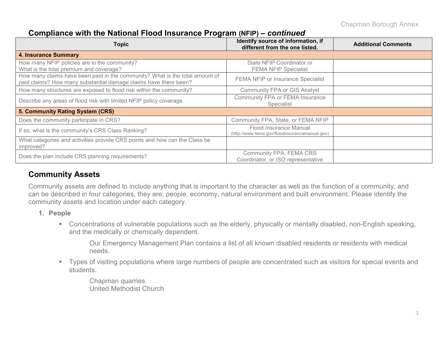### **Compliance with the National Flood Insurance Program (NFIP) –** *continued*

| <b>Topic</b>                                                                                                                                     | Identify source of information, if<br>different from the one listed.     | <b>Additional Comments</b> |
|--------------------------------------------------------------------------------------------------------------------------------------------------|--------------------------------------------------------------------------|----------------------------|
| <b>4. Insurance Summary</b>                                                                                                                      |                                                                          |                            |
| How many NFIP policies are in the community?<br>What is the total premium and coverage?                                                          | State NFIP Coordinator or<br><b>FEMA NFIP Specialist</b>                 |                            |
| How many claims have been paid in the community? What is the total amount of<br>paid claims? How many substantial damage claims have there been? | FEMA NFIP or Insurance Specialist                                        |                            |
| How many structures are exposed to flood risk within the community?                                                                              | <b>Community FPA or GIS Analyst</b>                                      |                            |
| Describe any areas of flood risk with limited NFIP policy coverage                                                                               | Community FPA or FEMA Insurance<br>Specialist                            |                            |
| 5. Community Rating System (CRS)                                                                                                                 |                                                                          |                            |
| Does the community participate in CRS?                                                                                                           | Community FPA, State, or FEMA NFIP                                       |                            |
| If so, what is the community's CRS Class Ranking?                                                                                                | Flood Insurance Manual<br>(http://www.fema.gov/floodinsurancemanual.gov) |                            |
| What categories and activities provide CRS points and how can the Class be<br>improved?                                                          |                                                                          |                            |
| Does the plan include CRS planning requirements?                                                                                                 | Community FPA, FEMA CRS<br>Coordinator, or ISO representative            |                            |

### **Community Assets**

Community assets are defined to include anything that is important to the character as well as the function of a community, and can be described in four categories, they are; people, economy, natural environment and built environment. Please identify the community assets and location under each category.

- **1. People**
	- Concentrations of vulnerable populations such as the elderly, physically or mentally disabled, non-English speaking, and the medically or chemically dependent.

Our Emergency Management Plan contains a list of all known disabled residents or residents with medical needs.

 Types of visiting populations where large numbers of people are concentrated such as visitors for special events and students.

Chapman quarries United Methodist Church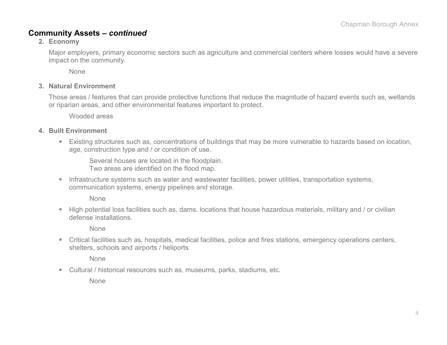### **Community Assets –** *continued*

#### **2. Economy**

Major employers, primary economic sectors such as agriculture and commercial centers where losses would have a severe impact on the community.

None

#### **3. Natural Environment**

Those areas / features that can provide protective functions that reduce the magnitude of hazard events such as, wetlands or riparian areas, and other environmental features important to protect.

Wooded areas

#### **4. Built Environment**

 Existing structures such as, concentrations of buildings that may be more vulnerable to hazards based on location, age, construction type and / or condition of use.

Several houses are located in the floodplain. Two areas are identified on the flood map.

**Infrastructure systems such as water and wastewater facilities, power utilities, transportation systems,** communication systems, energy pipelines and storage.

None

 High potential loss facilities such as, dams, locations that house hazardous materials, military and / or civilian defense installations.

None

 Critical facilities such as, hospitals, medical facilities, police and fires stations, emergency operations centers, shelters, schools and airports / heliports.

None

Cultural / historical resources such as, museums, parks, stadiums, etc.

None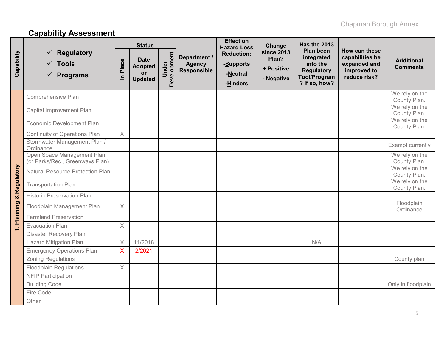# **Capability Assessment**

|              |                                                                      |                         | <b>Status</b>                                                |                      |                                                     | <b>Effect on</b><br><b>Hazard Loss</b>                 | Change                                                 | <b>Has the 2013</b>                                                                              |                                                                                 |                                      |
|--------------|----------------------------------------------------------------------|-------------------------|--------------------------------------------------------------|----------------------|-----------------------------------------------------|--------------------------------------------------------|--------------------------------------------------------|--------------------------------------------------------------------------------------------------|---------------------------------------------------------------------------------|--------------------------------------|
| Capability   | $\checkmark$ Regulatory<br>$\sqrt{ }$ Tools<br>$\checkmark$ Programs | Place<br>르              | <b>Date</b><br><b>Adopted</b><br><b>or</b><br><b>Updated</b> | Development<br>Under | Department /<br><b>Agency</b><br><b>Responsible</b> | <b>Reduction:</b><br>-Supports<br>-Neutral<br>-Hinders | <b>since 2013</b><br>Plan?<br>+ Positive<br>- Negative | Plan been<br>integrated<br>into the<br><b>Regulatory</b><br><b>Tool/Program</b><br>? If so, how? | How can these<br>capabilities be<br>expanded and<br>improved to<br>reduce risk? | <b>Additional</b><br><b>Comments</b> |
|              | Comprehensive Plan                                                   |                         |                                                              |                      |                                                     |                                                        |                                                        |                                                                                                  |                                                                                 | We rely on the<br>County Plan.       |
|              | Capital Improvement Plan                                             |                         |                                                              |                      |                                                     |                                                        |                                                        |                                                                                                  |                                                                                 | We rely on the<br>County Plan.       |
|              | Economic Development Plan                                            |                         |                                                              |                      |                                                     |                                                        |                                                        |                                                                                                  |                                                                                 | We rely on the<br>County Plan.       |
|              | <b>Continuity of Operations Plan</b>                                 | $\times$                |                                                              |                      |                                                     |                                                        |                                                        |                                                                                                  |                                                                                 |                                      |
|              | Stormwater Management Plan /<br>Ordinance                            |                         |                                                              |                      |                                                     |                                                        |                                                        |                                                                                                  |                                                                                 | Exempt currently                     |
|              | Open Space Management Plan<br>(or Parks/Rec., Greenways Plan)        |                         |                                                              |                      |                                                     |                                                        |                                                        |                                                                                                  |                                                                                 | We rely on the<br>County Plan.       |
| & Regulatory | Natural Resource Protection Plan                                     |                         |                                                              |                      |                                                     |                                                        |                                                        |                                                                                                  |                                                                                 | We rely on the<br>County Plan.       |
|              | <b>Transportation Plan</b>                                           |                         |                                                              |                      |                                                     |                                                        |                                                        |                                                                                                  |                                                                                 | We rely on the<br>County Plan.       |
|              | <b>Historic Preservation Plan</b>                                    |                         |                                                              |                      |                                                     |                                                        |                                                        |                                                                                                  |                                                                                 |                                      |
| 1. Planning  | Floodplain Management Plan                                           | X                       |                                                              |                      |                                                     |                                                        |                                                        |                                                                                                  |                                                                                 | Floodplain<br>Ordinance              |
|              | <b>Farmland Preservation</b>                                         |                         |                                                              |                      |                                                     |                                                        |                                                        |                                                                                                  |                                                                                 |                                      |
|              | <b>Evacuation Plan</b>                                               | $\times$                |                                                              |                      |                                                     |                                                        |                                                        |                                                                                                  |                                                                                 |                                      |
|              | <b>Disaster Recovery Plan</b>                                        |                         |                                                              |                      |                                                     |                                                        |                                                        |                                                                                                  |                                                                                 |                                      |
|              | <b>Hazard Mitigation Plan</b>                                        | $\times$                | 11/2018                                                      |                      |                                                     |                                                        |                                                        | N/A                                                                                              |                                                                                 |                                      |
|              | <b>Emergency Operations Plan</b>                                     | $\overline{\mathsf{X}}$ | 2/2021                                                       |                      |                                                     |                                                        |                                                        |                                                                                                  |                                                                                 |                                      |
|              | <b>Zoning Regulations</b>                                            |                         |                                                              |                      |                                                     |                                                        |                                                        |                                                                                                  |                                                                                 | County plan                          |
|              | <b>Floodplain Regulations</b>                                        | $\times$                |                                                              |                      |                                                     |                                                        |                                                        |                                                                                                  |                                                                                 |                                      |
|              | <b>NFIP Participation</b>                                            |                         |                                                              |                      |                                                     |                                                        |                                                        |                                                                                                  |                                                                                 |                                      |
|              | <b>Building Code</b>                                                 |                         |                                                              |                      |                                                     |                                                        |                                                        |                                                                                                  |                                                                                 | Only in floodplain                   |
|              | Fire Code                                                            |                         |                                                              |                      |                                                     |                                                        |                                                        |                                                                                                  |                                                                                 |                                      |
|              | Other                                                                |                         |                                                              |                      |                                                     |                                                        |                                                        |                                                                                                  |                                                                                 |                                      |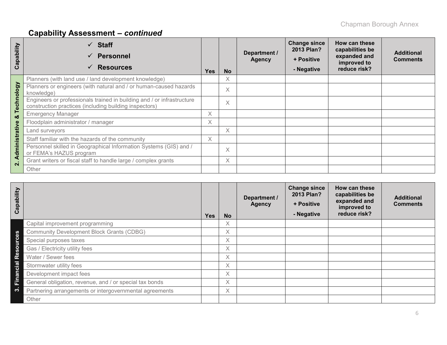# **Capability Assessment –** *continued*

| ability<br>ap<br>ပ | $\checkmark$ Staff<br><b>Personnel</b><br>$\checkmark$<br><b>Resources</b><br>$\checkmark$                                       | <b>Yes</b> | <b>No</b> | Department /<br><b>Agency</b> | <b>Change since</b><br>2013 Plan?<br>+ Positive<br>- Negative | How can these<br>capabilities be<br>expanded and<br>improved to<br>reduce risk? | <b>Additional</b><br><b>Comments</b> |
|--------------------|----------------------------------------------------------------------------------------------------------------------------------|------------|-----------|-------------------------------|---------------------------------------------------------------|---------------------------------------------------------------------------------|--------------------------------------|
|                    | Planners (with land use / land development knowledge)                                                                            |            | X         |                               |                                                               |                                                                                 |                                      |
|                    | Planners or engineers (with natural and / or human-caused hazards<br>knowledge)                                                  |            | $\times$  |                               |                                                               |                                                                                 |                                      |
| Technology         | Engineers or professionals trained in building and / or infrastructure<br>construction practices (including building inspectors) |            | $\times$  |                               |                                                               |                                                                                 |                                      |
| ×                  | <b>Emergency Manager</b>                                                                                                         | X          |           |                               |                                                               |                                                                                 |                                      |
|                    | Floodplain administrator / manager                                                                                               | X          |           |                               |                                                               |                                                                                 |                                      |
|                    | Land surveyors                                                                                                                   |            | X         |                               |                                                               |                                                                                 |                                      |
|                    | Staff familiar with the hazards of the community                                                                                 | X          |           |                               |                                                               |                                                                                 |                                      |
| Administrative     | Personnel skilled in Geographical Information Systems (GIS) and /<br>or FEMA's HAZUS program                                     |            | $\times$  |                               |                                                               |                                                                                 |                                      |
| $\mathbf{\Omega}$  | Grant writers or fiscal staff to handle large / complex grants                                                                   |            | X         |                               |                                                               |                                                                                 |                                      |
|                    | Other                                                                                                                            |            |           |                               |                                                               |                                                                                 |                                      |

| Capability       |                                                         | <b>Yes</b> | <b>No</b> | Department /<br><b>Agency</b> | <b>Change since</b><br>2013 Plan?<br>+ Positive<br>- Negative | How can these<br>capabilities be<br>expanded and<br>improved to<br>reduce risk? | <b>Additional</b><br><b>Comments</b> |
|------------------|---------------------------------------------------------|------------|-----------|-------------------------------|---------------------------------------------------------------|---------------------------------------------------------------------------------|--------------------------------------|
|                  | Capital improvement programming                         |            | Χ         |                               |                                                               |                                                                                 |                                      |
|                  | <b>Community Development Block Grants (CDBG)</b>        |            | X.        |                               |                                                               |                                                                                 |                                      |
| <b>Resources</b> | Special purposes taxes                                  |            | X         |                               |                                                               |                                                                                 |                                      |
|                  | Gas / Electricity utility fees                          |            | X.        |                               |                                                               |                                                                                 |                                      |
|                  | Water / Sewer fees                                      |            | X.        |                               |                                                               |                                                                                 |                                      |
| <b>Financial</b> | Stormwater utility fees                                 |            | X.        |                               |                                                               |                                                                                 |                                      |
|                  | Development impact fees                                 |            | X         |                               |                                                               |                                                                                 |                                      |
|                  | General obligation, revenue, and / or special tax bonds |            | X         |                               |                                                               |                                                                                 |                                      |
| ო                | Partnering arrangements or intergovernmental agreements |            | X.        |                               |                                                               |                                                                                 |                                      |
|                  | Other                                                   |            |           |                               |                                                               |                                                                                 |                                      |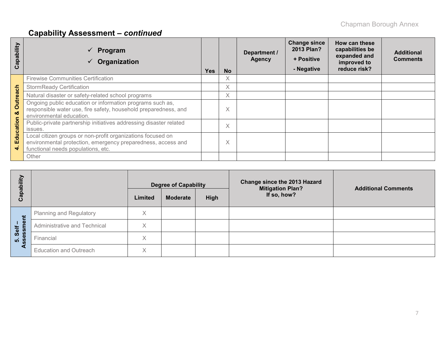# **Capability Assessment –** *continued*

| apability<br>ပ       | Program<br>Organization                                                                                                                                           | <b>Yes</b> | <b>No</b> | Department /<br><b>Agency</b> | <b>Change since</b><br>2013 Plan?<br>+ Positive<br>- Negative | How can these<br>capabilities be<br>expanded and<br>improved to<br>reduce risk? | <b>Additional</b><br><b>Comments</b> |
|----------------------|-------------------------------------------------------------------------------------------------------------------------------------------------------------------|------------|-----------|-------------------------------|---------------------------------------------------------------|---------------------------------------------------------------------------------|--------------------------------------|
|                      | <b>Firewise Communities Certification</b>                                                                                                                         |            | X         |                               |                                                               |                                                                                 |                                      |
|                      | <b>StormReady Certification</b>                                                                                                                                   |            | X         |                               |                                                               |                                                                                 |                                      |
|                      | Natural disaster or safety-related school programs                                                                                                                |            | X         |                               |                                                               |                                                                                 |                                      |
| <b>Outreach</b><br>ಜ | Ongoing public education or information programs such as,<br>responsible water use, fire safety, household preparedness, and<br>environmental education.          |            | Χ         |                               |                                                               |                                                                                 |                                      |
| Education            | Public-private partnership initiatives addressing disaster related<br>issues.                                                                                     |            | $\times$  |                               |                                                               |                                                                                 |                                      |
| 4                    | Local citizen groups or non-profit organizations focused on<br>environmental protection, emergency preparedness, access and<br>functional needs populations, etc. |            | Χ         |                               |                                                               |                                                                                 |                                      |
|                      | Other                                                                                                                                                             |            |           |                               |                                                               |                                                                                 |                                      |

| Capability       |                                |         | <b>Degree of Capability</b> |      | <b>Change since the 2013 Hazard</b><br><b>Mitigation Plan?</b> | <b>Additional Comments</b> |  |  |
|------------------|--------------------------------|---------|-----------------------------|------|----------------------------------------------------------------|----------------------------|--|--|
|                  |                                | Limited | <b>Moderate</b>             | High | If so, how?                                                    |                            |  |  |
| Ĕ                | <b>Planning and Regulatory</b> | X       |                             |      |                                                                |                            |  |  |
| $1 \Phi$<br>Self | Administrative and Technical   | X       |                             |      |                                                                |                            |  |  |
| Ö.<br>500        | Financial                      | Χ       |                             |      |                                                                |                            |  |  |
|                  | <b>Education and Outreach</b>  | X       |                             |      |                                                                |                            |  |  |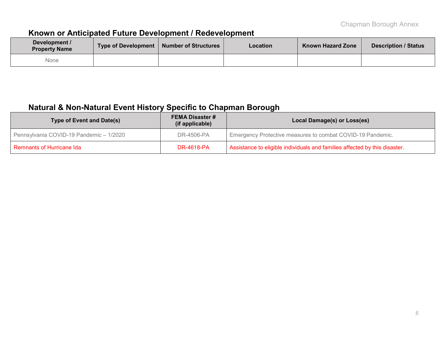# **Known or Anticipated Future Development / Redevelopment**

| Development /<br><b>Property Name</b> | <b>Type of Development</b> | Number of Structures | Location | <b>Known Hazard Zone</b> | <b>Description / Status</b> |
|---------------------------------------|----------------------------|----------------------|----------|--------------------------|-----------------------------|
| None                                  |                            |                      |          |                          |                             |

## **Natural & Non-Natural Event History Specific to Chapman Borough**

| Type of Event and Date(s)               | <b>FEMA Disaster #</b><br>(if applicable) | Local Damage(s) or Loss(es)                                                |
|-----------------------------------------|-------------------------------------------|----------------------------------------------------------------------------|
| Pennsylvania COVID-19 Pandemic - 1/2020 | DR-4506-PA                                | Emergency Protective measures to combat COVID-19 Pandemic.                 |
| <b>Remnants of Hurricane Ida</b>        | DR-4618-PA                                | Assistance to eligible individuals and families affected by this disaster. |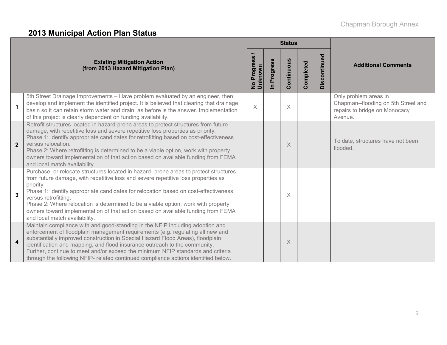# **2013 Municipal Action Plan Status**

|                |                                                                                                                                                                                                                                                                                                                                                                                                                                                                                                                  | <b>Status</b>                                |                            |            |           |              |                                                                                                          |
|----------------|------------------------------------------------------------------------------------------------------------------------------------------------------------------------------------------------------------------------------------------------------------------------------------------------------------------------------------------------------------------------------------------------------------------------------------------------------------------------------------------------------------------|----------------------------------------------|----------------------------|------------|-----------|--------------|----------------------------------------------------------------------------------------------------------|
|                | <b>Existing Mitigation Action</b><br>(from 2013 Hazard Mitigation Plan)                                                                                                                                                                                                                                                                                                                                                                                                                                          | SS<br><b>Progres</b><br>No Progre<br>Unknown | Progress<br>$\overline{a}$ | Continuous | Completed | Discontinued | <b>Additional Comments</b>                                                                               |
| 1              | 5th Street Drainage Improvements - Have problem evaluated by an engineer, then<br>develop and implement the identified project. It is believed that clearing that drainage<br>basin so it can retain storm water and drain, as before is the answer. Implementation<br>of this project is clearly dependent on funding availability.                                                                                                                                                                             | $\times$                                     |                            | $\times$   |           |              | Only problem areas in<br>Chapman--flooding on 5th Street and<br>repairs to bridge on Monocacy<br>Avenue. |
| $\overline{2}$ | Retrofit structures located in hazard-prone areas to protect structures from future<br>damage, with repetitive loss and severe repetitive loss properties as priority.<br>Phase 1: Identify appropriate candidates for retrofitting based on cost-effectiveness<br>versus relocation.<br>Phase 2: Where retrofitting is determined to be a viable option, work with property<br>owners toward implementation of that action based on available funding from FEMA<br>and local match availability.                |                                              |                            | $\times$   |           |              | To date, structures have not been<br>flooded.                                                            |
| $\overline{3}$ | Purchase, or relocate structures located in hazard- prone areas to protect structures<br>from future damage, with repetitive loss and severe repetitive loss properties as<br>priority.<br>Phase 1: Identify appropriate candidates for relocation based on cost-effectiveness<br>versus retrofitting.<br>Phase 2: Where relocation is determined to be a viable option, work with property<br>owners toward implementation of that action based on available funding from FEMA<br>and local match availability. |                                              |                            | $\times$   |           |              |                                                                                                          |
| 4              | Maintain compliance with and good-standing in the NFIP including adoption and<br>enforcement of floodplain management requirements (e.g. regulating all new and<br>substantially improved construction in Special Hazard Flood Areas), floodplain<br>identification and mapping, and flood insurance outreach to the community.<br>Further, continue to meet and/or exceed the minimum NFIP standards and criteria<br>through the following NFIP- related continued compliance actions identified below.         |                                              |                            | $\times$   |           |              |                                                                                                          |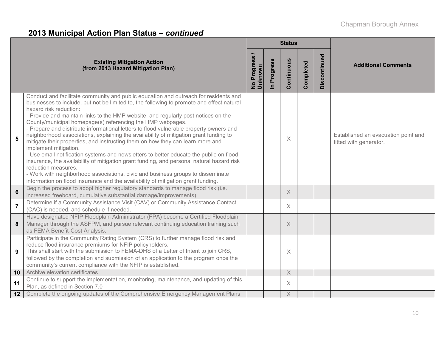# **2013 Municipal Action Plan Status –** *continued*

|                |                                                                                                                                                                                                                                                                                                                                                                                                                                                                                                                                                                                                                                                                                                                                                                                                                                                                                                                                                                                                                                                    | <b>Status</b>                           |             |            |           |              |                                                               |
|----------------|----------------------------------------------------------------------------------------------------------------------------------------------------------------------------------------------------------------------------------------------------------------------------------------------------------------------------------------------------------------------------------------------------------------------------------------------------------------------------------------------------------------------------------------------------------------------------------------------------------------------------------------------------------------------------------------------------------------------------------------------------------------------------------------------------------------------------------------------------------------------------------------------------------------------------------------------------------------------------------------------------------------------------------------------------|-----------------------------------------|-------------|------------|-----------|--------------|---------------------------------------------------------------|
|                | <b>Existing Mitigation Action</b><br>(from 2013 Hazard Mitigation Plan)                                                                                                                                                                                                                                                                                                                                                                                                                                                                                                                                                                                                                                                                                                                                                                                                                                                                                                                                                                            | <b>Progress</b><br>No Progre<br>Unknown | In Progress | Continuous | Completed | Discontinued | <b>Additional Comments</b>                                    |
| 5              | Conduct and facilitate community and public education and outreach for residents and<br>businesses to include, but not be limited to, the following to promote and effect natural<br>hazard risk reduction:<br>- Provide and maintain links to the HMP website, and regularly post notices on the<br>County/municipal homepage(s) referencing the HMP webpages.<br>- Prepare and distribute informational letters to flood vulnerable property owners and<br>neighborhood associations, explaining the availability of mitigation grant funding to<br>mitigate their properties, and instructing them on how they can learn more and<br>implement mitigation.<br>- Use email notification systems and newsletters to better educate the public on flood<br>insurance, the availability of mitigation grant funding, and personal natural hazard risk<br>reduction measures.<br>- Work with neighborhood associations, civic and business groups to disseminate<br>information on flood insurance and the availability of mitigation grant funding. |                                         |             | $\times$   |           |              | Established an evacuation point and<br>fitted with generator. |
| $6\phantom{1}$ | Begin the process to adopt higher regulatory standards to manage flood risk (i.e.<br>increased freeboard, cumulative substantial damage/improvements).                                                                                                                                                                                                                                                                                                                                                                                                                                                                                                                                                                                                                                                                                                                                                                                                                                                                                             |                                         |             | $\times$   |           |              |                                                               |
| $\overline{7}$ | Determine if a Community Assistance Visit (CAV) or Community Assistance Contact<br>(CAC) is needed, and schedule if needed.                                                                                                                                                                                                                                                                                                                                                                                                                                                                                                                                                                                                                                                                                                                                                                                                                                                                                                                        |                                         |             | $\times$   |           |              |                                                               |
| 8              | Have designated NFIP Floodplain Administrator (FPA) become a Certified Floodplain<br>Manager through the ASFPM, and pursue relevant continuing education training such<br>as FEMA Benefit-Cost Analysis.                                                                                                                                                                                                                                                                                                                                                                                                                                                                                                                                                                                                                                                                                                                                                                                                                                           |                                         |             | X          |           |              |                                                               |
| 9              | Participate in the Community Rating System (CRS) to further manage flood risk and<br>reduce flood insurance premiums for NFIP policyholders.<br>This shall start with the submission to FEMA-DHS of a Letter of Intent to join CRS,<br>followed by the completion and submission of an application to the program once the<br>community's current compliance with the NFIP is established.                                                                                                                                                                                                                                                                                                                                                                                                                                                                                                                                                                                                                                                         |                                         |             | $\times$   |           |              |                                                               |
| 10             | Archive elevation certificates                                                                                                                                                                                                                                                                                                                                                                                                                                                                                                                                                                                                                                                                                                                                                                                                                                                                                                                                                                                                                     |                                         |             | $\times$   |           |              |                                                               |
| 11             | Continue to support the implementation, monitoring, maintenance, and updating of this<br>Plan, as defined in Section 7.0                                                                                                                                                                                                                                                                                                                                                                                                                                                                                                                                                                                                                                                                                                                                                                                                                                                                                                                           |                                         |             | $\times$   |           |              |                                                               |
| 12             | Complete the ongoing updates of the Comprehensive Emergency Management Plans                                                                                                                                                                                                                                                                                                                                                                                                                                                                                                                                                                                                                                                                                                                                                                                                                                                                                                                                                                       |                                         |             | $\times$   |           |              |                                                               |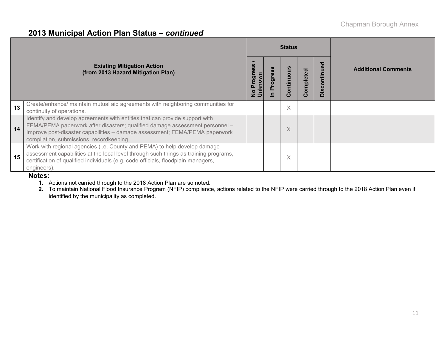### **2013 Municipal Action Plan Status –** *continued*

|    |                                                                                                                                                                                                                                                                                       |                                           |                 | <b>Status</b>     |           |                                                  |                            |
|----|---------------------------------------------------------------------------------------------------------------------------------------------------------------------------------------------------------------------------------------------------------------------------------------|-------------------------------------------|-----------------|-------------------|-----------|--------------------------------------------------|----------------------------|
|    | <b>Existing Mitigation Action</b><br>(from 2013 Hazard Mitigation Plan)                                                                                                                                                                                                               | $\mathbf{\omega}$<br>ŠΙ<br>ත<br>nkn<br>Δ. | <b>Progress</b> | ontinuous<br>Ω    | Completed | ठ<br>9U<br>īä<br>$\circ$<br><u>ဖ</u><br>$\Omega$ | <b>Additional Comments</b> |
| 13 | Create/enhance/ maintain mutual aid agreements with neighboring communities for<br>continuity of operations.                                                                                                                                                                          |                                           |                 | X                 |           |                                                  |                            |
| 14 | Identify and develop agreements with entities that can provide support with<br>FEMA/PEMA paperwork after disasters; qualified damage assessment personnel -<br>Improve post-disaster capabilities - damage assessment; FEMA/PEMA paperwork<br>compilation, submissions, recordkeeping |                                           |                 | X                 |           |                                                  |                            |
| 15 | Work with regional agencies (i.e. County and PEMA) to help develop damage<br>assessment capabilities at the local level through such things as training programs,<br>certification of qualified individuals (e.g. code officials, floodplain managers,<br>engineers).                 |                                           |                 | $\checkmark$<br>∧ |           |                                                  |                            |

#### **Notes:**

**1.** Actions not carried through to the 2018 Action Plan are so noted.

**2.** To maintain National Flood Insurance Program (NFIP) compliance, actions related to the NFIP were carried through to the 2018 Action Plan even if identified by the municipality as completed.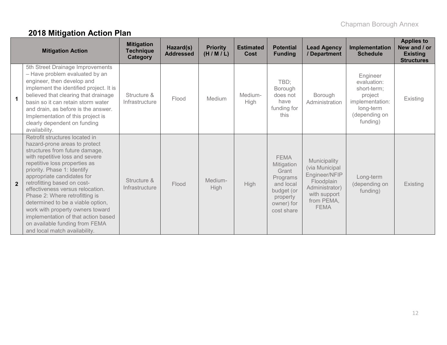# **2018 Mitigation Action Plan**

|                      | <b>Mitigation Action</b>                                                                                                                                                                                                                                                                                                                                                                                                                                                                                                   | <b>Mitigation</b><br><b>Technique</b><br>Category | Hazard(s)<br><b>Addressed</b> | <b>Priority</b><br>(H/M/L) | <b>Estimated</b><br>Cost | <b>Potential</b><br><b>Funding</b>                                                                                | <b>Lead Agency</b><br>/ Department                                                                                           | Implementation<br><b>Schedule</b>                                                                              | <b>Applies to</b><br>New and / or<br><b>Existing</b><br><b>Structures</b> |
|----------------------|----------------------------------------------------------------------------------------------------------------------------------------------------------------------------------------------------------------------------------------------------------------------------------------------------------------------------------------------------------------------------------------------------------------------------------------------------------------------------------------------------------------------------|---------------------------------------------------|-------------------------------|----------------------------|--------------------------|-------------------------------------------------------------------------------------------------------------------|------------------------------------------------------------------------------------------------------------------------------|----------------------------------------------------------------------------------------------------------------|---------------------------------------------------------------------------|
| $\blacktriangleleft$ | 5th Street Drainage Improvements<br>- Have problem evaluated by an<br>engineer, then develop and<br>implement the identified project. It is<br>believed that clearing that drainage<br>basin so it can retain storm water<br>and drain, as before is the answer.<br>Implementation of this project is<br>clearly dependent on funding<br>availability.                                                                                                                                                                     | Structure &<br>Infrastructure                     | Flood                         | Medium                     | Medium-<br><b>High</b>   | TBD;<br>Borough<br>does not<br>have<br>funding for<br>this                                                        | Borough<br>Administration                                                                                                    | Engineer<br>evaluation:<br>short-term:<br>project<br>implementation:<br>long-term<br>(depending on<br>funding) | Existing                                                                  |
| $\overline{2}$       | Retrofit structures located in<br>hazard-prone areas to protect<br>structures from future damage,<br>with repetitive loss and severe<br>repetitive loss properties as<br>priority. Phase 1: Identify<br>appropriate candidates for<br>retrofitting based on cost-<br>effectiveness versus relocation.<br>Phase 2: Where retrofitting is<br>determined to be a viable option,<br>work with property owners toward<br>implementation of that action based<br>on available funding from FEMA<br>and local match availability. | Structure &<br>Infrastructure                     | Flood                         | Medium-<br>High            | <b>High</b>              | <b>FEMA</b><br>Mitigation<br>Grant<br>Programs<br>and local<br>budget (or<br>property<br>owner) for<br>cost share | Municipality<br>(via Municipal<br>Engineer/NFIP<br>Floodplain<br>Administrator)<br>with support<br>from PEMA,<br><b>FEMA</b> | Long-term<br>(depending on<br>funding)                                                                         | Existing                                                                  |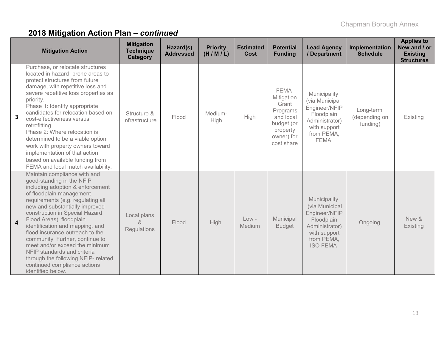|                | <b>Mitigation Action</b>                                                                                                                                                                                                                                                                                                                                                                                                                                                                                                                 | <b>Mitigation</b><br><b>Technique</b><br>Category | Hazard(s)<br><b>Addressed</b> | <b>Priority</b><br>(H/M/L) | <b>Estimated</b><br>Cost | <b>Potential</b><br><b>Funding</b>                                                                                | <b>Lead Agency</b><br>/ Department                                                                                               | Implementation<br><b>Schedule</b>      | <b>Applies to</b><br>New and / or<br><b>Existing</b><br><b>Structures</b> |
|----------------|------------------------------------------------------------------------------------------------------------------------------------------------------------------------------------------------------------------------------------------------------------------------------------------------------------------------------------------------------------------------------------------------------------------------------------------------------------------------------------------------------------------------------------------|---------------------------------------------------|-------------------------------|----------------------------|--------------------------|-------------------------------------------------------------------------------------------------------------------|----------------------------------------------------------------------------------------------------------------------------------|----------------------------------------|---------------------------------------------------------------------------|
| $\mathbf{3}$   | Purchase, or relocate structures<br>located in hazard- prone areas to<br>protect structures from future<br>damage, with repetitive loss and<br>severe repetitive loss properties as<br>priority.<br>Phase 1: Identify appropriate<br>candidates for relocation based on<br>cost-effectiveness versus<br>retrofitting.<br>Phase 2: Where relocation is<br>determined to be a viable option,<br>work with property owners toward<br>implementation of that action<br>based on available funding from<br>FEMA and local match availability. | Structure &<br>Infrastructure                     | Flood                         | Medium-<br>High            | High                     | <b>FEMA</b><br>Mitigation<br>Grant<br>Programs<br>and local<br>budget (or<br>property<br>owner) for<br>cost share | Municipality<br>(via Municipal<br>Engineer/NFIP<br>Floodplain<br>Administrator)<br>with support<br>from PEMA,<br><b>FEMA</b>     | Long-term<br>(depending on<br>funding) | Existing                                                                  |
| $\overline{4}$ | Maintain compliance with and<br>good-standing in the NFIP<br>including adoption & enforcement<br>of floodplain management<br>requirements (e.g. regulating all<br>new and substantially improved<br>construction in Special Hazard<br>Flood Areas), floodplain<br>identification and mapping, and<br>flood insurance outreach to the<br>community. Further, continue to<br>meet and/or exceed the minimum<br>NFIP standards and criteria<br>through the following NFIP- related<br>continued compliance actions<br>identified below.     | Local plans<br>$\alpha$<br>Regulations            | Flood                         | High                       | $Low -$<br>Medium        | Municipal<br><b>Budget</b>                                                                                        | Municipality<br>(via Municipal<br>Engineer/NFIP<br>Floodplain<br>Administrator)<br>with support<br>from PEMA,<br><b>ISO FEMA</b> | Ongoing                                | New &<br>Existing                                                         |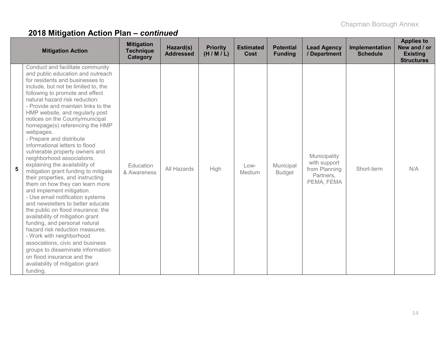|   | <b>Mitigation Action</b>                                                                                                                                                                                                                                                                                                                                                                                                                                                                                                                                                                                                                                                                                                                                                                                                                                                                                                                                                                                                                                                                                 | <b>Mitigation</b><br><b>Technique</b><br>Category | Hazard(s)<br><b>Addressed</b> | <b>Priority</b><br>(H/M/L) | <b>Estimated</b><br>Cost | <b>Potential</b><br><b>Funding</b> | <b>Lead Agency</b><br>/ Department                                       | Implementation<br><b>Schedule</b> | <b>Applies to</b><br>New and / or<br><b>Existing</b><br><b>Structures</b> |
|---|----------------------------------------------------------------------------------------------------------------------------------------------------------------------------------------------------------------------------------------------------------------------------------------------------------------------------------------------------------------------------------------------------------------------------------------------------------------------------------------------------------------------------------------------------------------------------------------------------------------------------------------------------------------------------------------------------------------------------------------------------------------------------------------------------------------------------------------------------------------------------------------------------------------------------------------------------------------------------------------------------------------------------------------------------------------------------------------------------------|---------------------------------------------------|-------------------------------|----------------------------|--------------------------|------------------------------------|--------------------------------------------------------------------------|-----------------------------------|---------------------------------------------------------------------------|
| 5 | Conduct and facilitate community<br>and public education and outreach<br>for residents and businesses to<br>include, but not be limited to, the<br>following to promote and effect<br>natural hazard risk reduction:<br>- Provide and maintain links to the<br>HMP website, and regularly post<br>notices on the County/municipal<br>homepage(s) referencing the HMP<br>webpages.<br>- Prepare and distribute<br>informational letters to flood<br>vulnerable property owners and<br>neighborhood associations,<br>explaining the availability of<br>mitigation grant funding to mitigate<br>their properties, and instructing<br>them on how they can learn more<br>and implement mitigation.<br>- Use email notification systems<br>and newsletters to better educate<br>the public on flood insurance, the<br>availability of mitigation grant<br>funding, and personal natural<br>hazard risk reduction measures.<br>- Work with neighborhood<br>associations, civic and business<br>groups to disseminate information<br>on flood insurance and the<br>availability of mitigation grant<br>funding. | Education<br>& Awareness                          | All Hazards                   | High                       | $Low-$<br>Medium         | Municipal<br><b>Budget</b>         | Municipality<br>with support<br>from Planning<br>Partners,<br>PEMA, FEMA | Short-term                        | N/A                                                                       |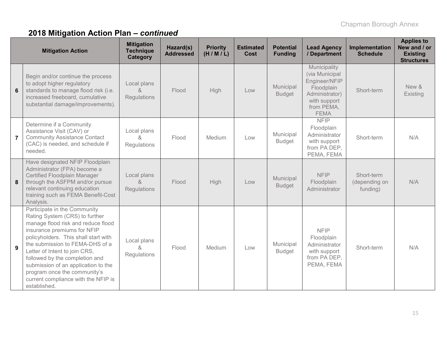|                | <b>Mitigation Action</b>                                                                                                                                                                                                                                                                                                                                                                                        | <b>Mitigation</b><br><b>Technique</b><br>Category | Hazard(s)<br><b>Addressed</b> | <b>Priority</b><br>(H/M/L) | <b>Estimated</b><br>Cost | <b>Potential</b><br><b>Funding</b> | <b>Lead Agency</b><br>/ Department                                                                                           | <b>Implementation</b><br><b>Schedule</b> | <b>Applies to</b><br>New and / or<br><b>Existing</b><br><b>Structures</b> |
|----------------|-----------------------------------------------------------------------------------------------------------------------------------------------------------------------------------------------------------------------------------------------------------------------------------------------------------------------------------------------------------------------------------------------------------------|---------------------------------------------------|-------------------------------|----------------------------|--------------------------|------------------------------------|------------------------------------------------------------------------------------------------------------------------------|------------------------------------------|---------------------------------------------------------------------------|
| 6              | Begin and/or continue the process<br>to adopt higher regulatory<br>standards to manage flood risk (i.e.<br>increased freeboard, cumulative<br>substantial damage/improvements).                                                                                                                                                                                                                                 | Local plans<br>$\kappa$<br>Regulations            | Flood                         | High                       | Low                      | Municipal<br><b>Budget</b>         | Municipality<br>(via Municipal<br>Engineer/NFIP<br>Floodplain<br>Administrator)<br>with support<br>from PEMA,<br><b>FEMA</b> | Short-term                               | New &<br>Existing                                                         |
| $\overline{7}$ | Determine if a Community<br>Assistance Visit (CAV) or<br><b>Community Assistance Contact</b><br>(CAC) is needed, and schedule if<br>needed.                                                                                                                                                                                                                                                                     | Local plans<br>&<br>Regulations                   | Flood                         | Medium                     | Low                      | Municipal<br><b>Budget</b>         | <b>NFIP</b><br>Floodplain<br>Administrator<br>with support<br>from PA DEP,<br>PEMA, FEMA                                     | Short-term                               | N/A                                                                       |
| 8              | Have designated NFIP Floodplain<br>Administrator (FPA) become a<br>Certified Floodplain Manager<br>through the ASFPM and/or pursue<br>relevant continuing education<br>training such as FEMA Benefit-Cost<br>Analysis.                                                                                                                                                                                          | Local plans<br>$\delta$<br>Regulations            | Flood                         | High                       | Low                      | Municipal<br><b>Budget</b>         | <b>NFIP</b><br>Floodplain<br>Administrator                                                                                   | Short-term<br>(depending on<br>funding)  | N/A                                                                       |
| 9              | Participate in the Community<br>Rating System (CRS) to further<br>manage flood risk and reduce flood<br>insurance premiums for NFIP<br>policyholders. This shall start with<br>the submission to FEMA-DHS of a<br>Letter of Intent to join CRS,<br>followed by the completion and<br>submission of an application to the<br>program once the community's<br>current compliance with the NFIP is<br>established. | Local plans<br>ጼ<br>Regulations                   | Flood                         | Medium                     | Low                      | Municipal<br><b>Budget</b>         | <b>NFIP</b><br>Floodplain<br>Administrator<br>with support<br>from PA DEP,<br>PEMA, FEMA                                     | Short-term                               | N/A                                                                       |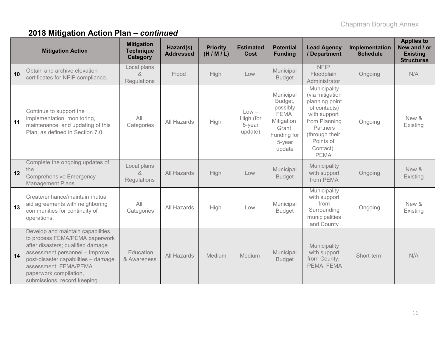|    | <b>Mitigation Action</b>                                                                                                                                                                                                                                             | <b>Mitigation</b><br><b>Technique</b><br><b>Category</b> | Hazard(s)<br><b>Addressed</b> | <b>Priority</b><br>(H/M/L) | <b>Estimated</b><br>Cost                  | <b>Potential</b><br><b>Funding</b>                                                                        | <b>Lead Agency</b><br>/ Department                                                                                                                                        | Implementation<br><b>Schedule</b> | <b>Applies to</b><br>New and / or<br><b>Existing</b><br><b>Structures</b> |
|----|----------------------------------------------------------------------------------------------------------------------------------------------------------------------------------------------------------------------------------------------------------------------|----------------------------------------------------------|-------------------------------|----------------------------|-------------------------------------------|-----------------------------------------------------------------------------------------------------------|---------------------------------------------------------------------------------------------------------------------------------------------------------------------------|-----------------------------------|---------------------------------------------------------------------------|
| 10 | Obtain and archive elevation<br>certificates for NFIP compliance.                                                                                                                                                                                                    | Local plans<br>$\alpha$<br><b>Regulations</b>            | Flood                         | <b>High</b>                | Low                                       | Municipal<br><b>Budget</b>                                                                                | <b>NFIP</b><br>Floodplain<br>Administrator                                                                                                                                | Ongoing                           | N/A                                                                       |
| 11 | Continue to support the<br>implementation, monitoring,<br>maintenance, and updating of this<br>Plan, as defined in Section 7.0                                                                                                                                       | All<br>Categories                                        | All Hazards                   | High                       | $Low -$<br>High (for<br>5-year<br>update) | Municipal<br>Budget,<br>possibly<br><b>FEMA</b><br>Mitigation<br>Grant<br>Funding for<br>5-year<br>update | Municipality<br>(via mitigation<br>planning point<br>of contacts)<br>with support<br>from Planning<br>Partners<br>(through their<br>Points of<br>Contact),<br><b>PEMA</b> | Ongoing                           | New &<br>Existing                                                         |
| 12 | Complete the ongoing updates of<br>the<br><b>Comprehensive Emergency</b><br><b>Management Plans</b>                                                                                                                                                                  | Local plans<br>$\alpha$<br>Regulations                   | All Hazards                   | High                       | Low                                       | Municipal<br><b>Budget</b>                                                                                | Municipality<br>with support<br>from PEMA                                                                                                                                 | Ongoing                           | New &<br>Existing                                                         |
| 13 | Create/enhance/maintain mutual<br>aid agreements with neighboring<br>communities for continuity of<br>operations.                                                                                                                                                    | All<br>Categories                                        | All Hazards                   | High                       | Low                                       | Municipal<br><b>Budget</b>                                                                                | Municipality<br>with support<br>from<br>Surrounding<br>municipalities<br>and County                                                                                       | Ongoing                           | New &<br>Existing                                                         |
| 14 | Develop and maintain capabilities<br>to process FEMA/PEMA paperwork<br>after disasters; qualified damage<br>assessment personnel - Improve<br>post-disaster capabilities - damage<br>assessment; FEMA/PEMA<br>paperwork compilation,<br>submissions, record keeping. | Education<br>& Awareness                                 | All Hazards                   | Medium                     | Medium                                    | Municipal<br><b>Budget</b>                                                                                | Municipality<br>with support<br>from County,<br>PEMA, FEMA                                                                                                                | Short-term                        | N/A                                                                       |